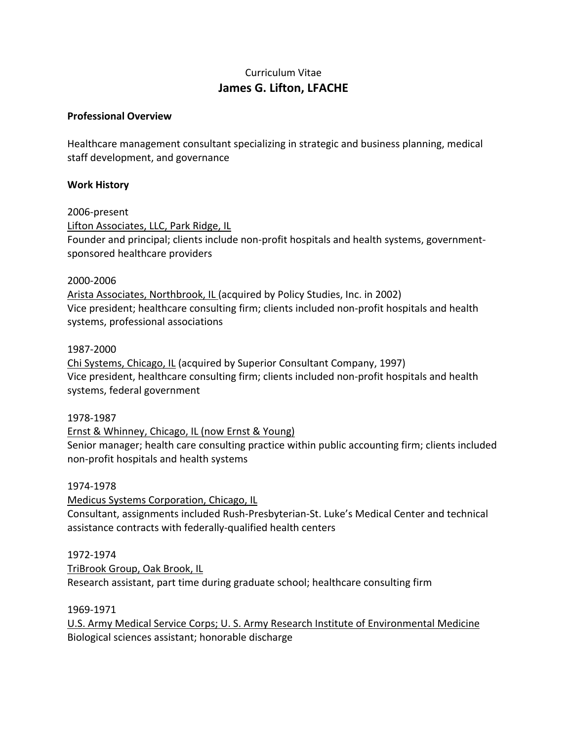# Curriculum Vitae **James G. Lifton, LFACHE**

# **Professional Overview**

Healthcare management consultant specializing in strategic and business planning, medical staff development, and governance

# **Work History**

2006‐present Lifton Associates, LLC, Park Ridge, IL Founder and principal; clients include non‐profit hospitals and health systems, government‐ sponsored healthcare providers

### 2000‐2006

Arista Associates, Northbrook, IL (acquired by Policy Studies, Inc. in 2002) Vice president; healthcare consulting firm; clients included non‐profit hospitals and health systems, professional associations

### 1987‐2000

Chi Systems, Chicago, IL (acquired by Superior Consultant Company, 1997) Vice president, healthcare consulting firm; clients included non‐profit hospitals and health systems, federal government

1978‐1987

Ernst & Whinney, Chicago, IL (now Ernst & Young)

Senior manager; health care consulting practice within public accounting firm; clients included non‐profit hospitals and health systems

### 1974‐1978

Medicus Systems Corporation, Chicago, IL Consultant, assignments included Rush‐Presbyterian‐St. Luke's Medical Center and technical assistance contracts with federally‐qualified health centers

# 1972‐1974

TriBrook Group, Oak Brook, IL Research assistant, part time during graduate school; healthcare consulting firm

1969‐1971

U.S. Army Medical Service Corps; U. S. Army Research Institute of Environmental Medicine Biological sciences assistant; honorable discharge